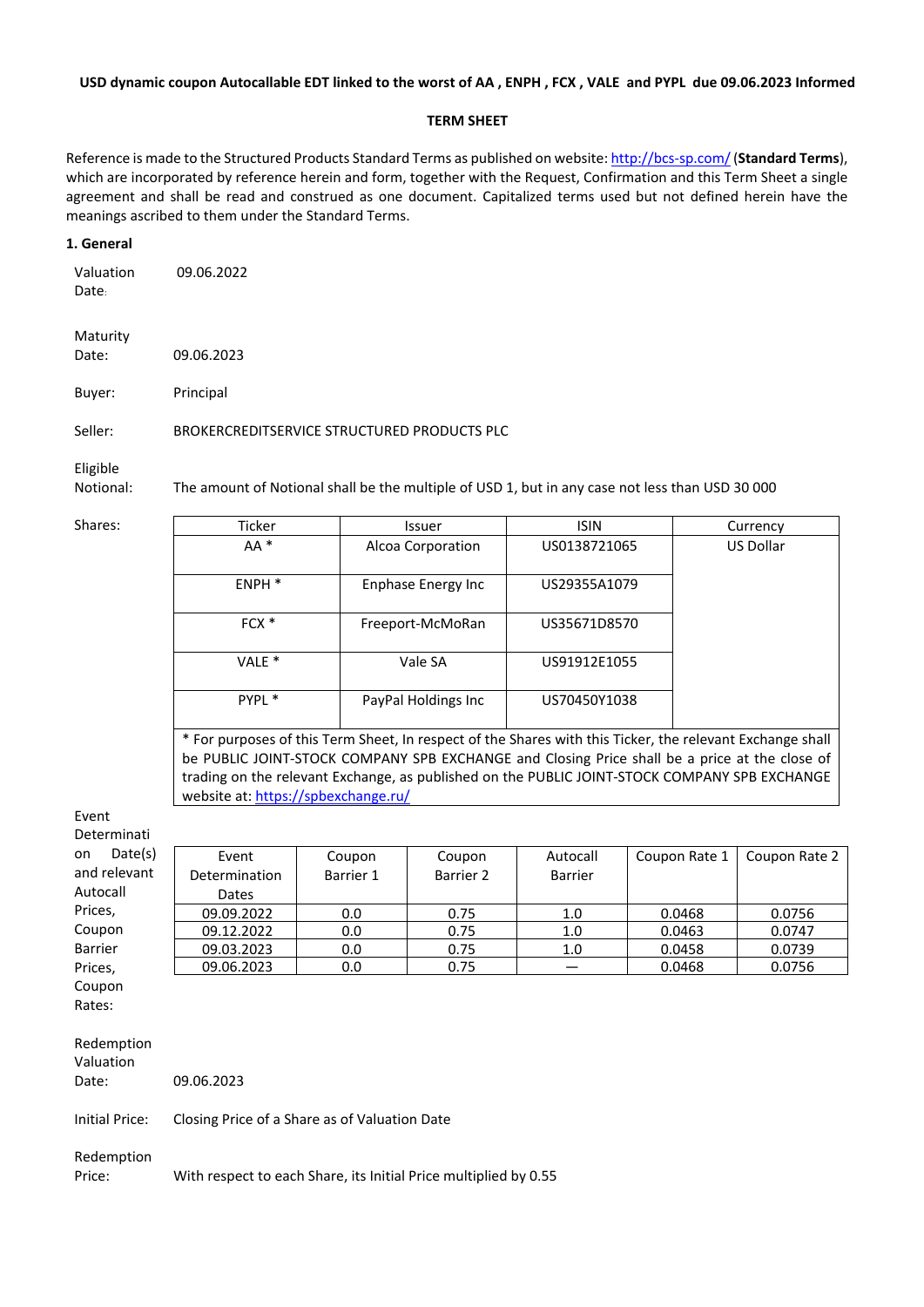#### **USD dynamic coupon Autocallable EDT linked to the worst of AA , ENPH , FCX , VALE and PYPL due 09.06.2023 Informed**

#### **TERM SHEET**

Reference is made to the Structured Products Standard Terms as published on website:<http://bcs-sp.com/>(**Standard Terms**), which are incorporated by reference herein and form, together with the Request, Confirmation and this Term Sheet a single agreement and shall be read and construed as one document. Capitalized terms used but not defined herein have the meanings ascribed to them under the Standard Terms.

#### **1. General**

Valuation Date: 09.06.2022

Maturity Date: 09.06.2023

Buyer: Principal

Seller: BROKERCREDITSERVICE STRUCTURED PRODUCTS PLC

Eligible

Notional: The amount of Notional shall be the multiple of USD 1, but in any case not less than USD 30 000

| Shares: | Ticker                                                                                                    | <b>Issuer</b>       | <b>ISIN</b>  | Currency         |  |  |
|---------|-----------------------------------------------------------------------------------------------------------|---------------------|--------------|------------------|--|--|
|         | $AA^*$                                                                                                    | Alcoa Corporation   | US0138721065 | <b>US Dollar</b> |  |  |
|         | ENPH <sup>*</sup>                                                                                         | Enphase Energy Inc  | US29355A1079 |                  |  |  |
|         | $FCX *$                                                                                                   | Freeport-McMoRan    | US35671D8570 |                  |  |  |
|         | VALE <sup>*</sup>                                                                                         | Vale SA             | US91912E1055 |                  |  |  |
|         | PYPL *                                                                                                    | PayPal Holdings Inc | US70450Y1038 |                  |  |  |
|         | * For purposes of this Term Sheet, In respect of the Shares with this Ticker, the relevant Exchange shall |                     |              |                  |  |  |

be PUBLIC JOINT-STOCK COMPANY SPB EXCHANGE and Closing Price shall be a price at the close of trading on the relevant Exchange, as published on the PUBLIC JOINT-STOCK COMPANY SPB EXCHANGE website at: <https://spbexchange.ru/>

# Event

Determinati on D and rel Autoca Prices, Coupor Barrier Prices,

| .       |               |           |           |          |               |               |
|---------|---------------|-----------|-----------|----------|---------------|---------------|
| Date(s) | Event         | Coupon    | Coupon    | Autocall | Coupon Rate 1 | Coupon Rate 2 |
| levant  | Determination | Barrier 1 | Barrier 2 | Barrier  |               |               |
| ۱I      | Dates         |           |           |          |               |               |
|         | 09.09.2022    | 0.0       | 0.75      | 1.0      | 0.0468        | 0.0756        |
| n       | 09.12.2022    | 0.0       | 0.75      | 1.0      | 0.0463        | 0.0747        |
|         | 09.03.2023    | 0.0       | 0.75      | 1.0      | 0.0458        | 0.0739        |
|         | 09.06.2023    | 0.0       | 0.75      |          | 0.0468        | 0.0756        |

Coupon Rates:

Redemption Valuation Date: 09.06.2023 Initial Price: Closing Price of a Share as of Valuation Date

Redemption

Price: With respect to each Share, its Initial Price multiplied by 0.55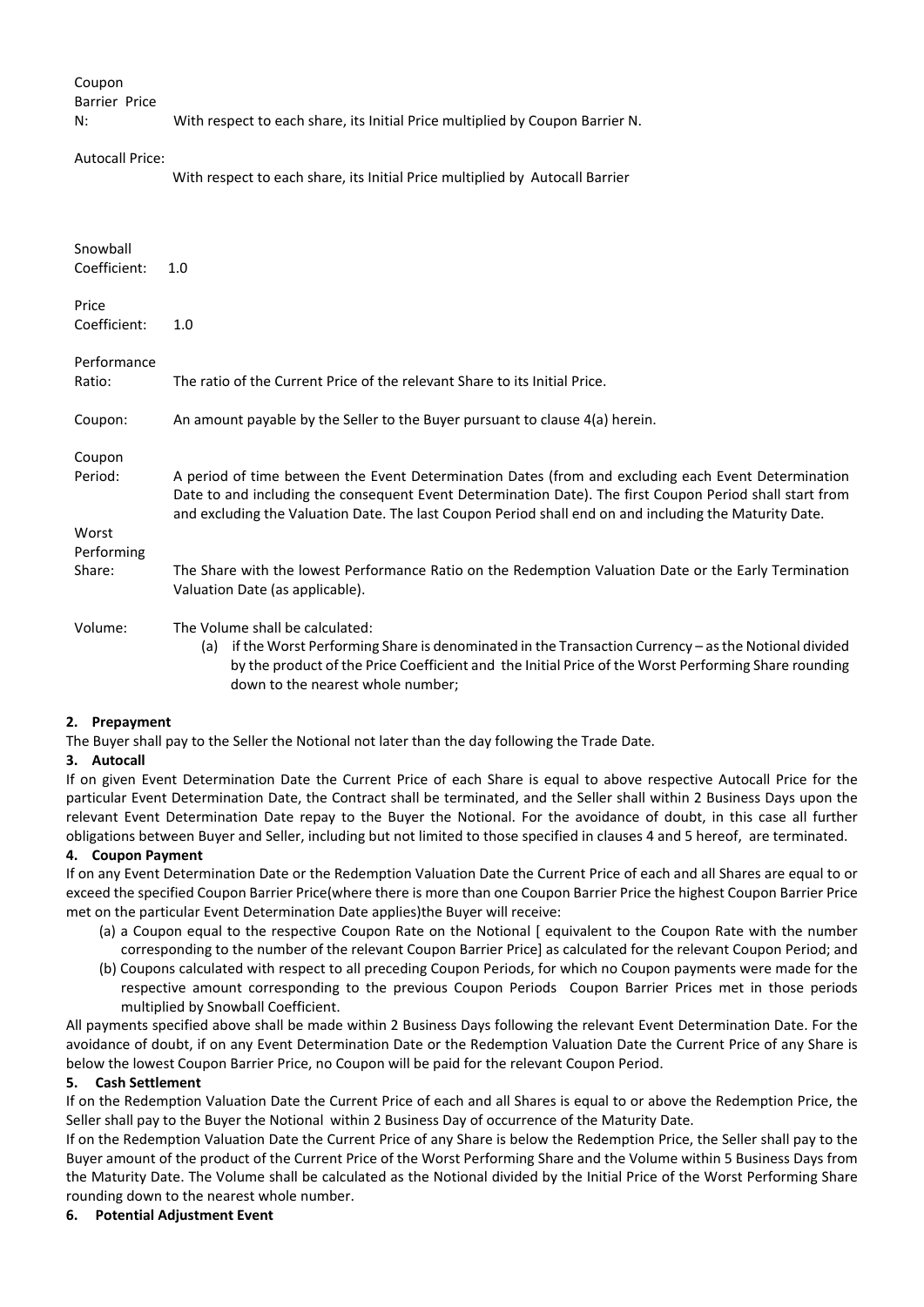## Coupon

Barrier Price

N: With respect to each share, its Initial Price multiplied by Coupon Barrier N.

#### Autocall Price:

With respect to each share, its Initial Price multiplied by Autocall Barrier

| Snowball     |                                                                                                                                                                                                                                                                                                                           |  |  |  |  |
|--------------|---------------------------------------------------------------------------------------------------------------------------------------------------------------------------------------------------------------------------------------------------------------------------------------------------------------------------|--|--|--|--|
| Coefficient: | 1.0                                                                                                                                                                                                                                                                                                                       |  |  |  |  |
|              |                                                                                                                                                                                                                                                                                                                           |  |  |  |  |
| Price        |                                                                                                                                                                                                                                                                                                                           |  |  |  |  |
| Coefficient: | 1.0                                                                                                                                                                                                                                                                                                                       |  |  |  |  |
|              |                                                                                                                                                                                                                                                                                                                           |  |  |  |  |
| Performance  |                                                                                                                                                                                                                                                                                                                           |  |  |  |  |
| Ratio:       | The ratio of the Current Price of the relevant Share to its Initial Price.                                                                                                                                                                                                                                                |  |  |  |  |
|              |                                                                                                                                                                                                                                                                                                                           |  |  |  |  |
| Coupon:      | An amount payable by the Seller to the Buyer pursuant to clause 4(a) herein.                                                                                                                                                                                                                                              |  |  |  |  |
| Coupon       |                                                                                                                                                                                                                                                                                                                           |  |  |  |  |
|              |                                                                                                                                                                                                                                                                                                                           |  |  |  |  |
| Period:      | A period of time between the Event Determination Dates (from and excluding each Event Determination<br>Date to and including the consequent Event Determination Date). The first Coupon Period shall start from<br>and excluding the Valuation Date. The last Coupon Period shall end on and including the Maturity Date. |  |  |  |  |
| Worst        |                                                                                                                                                                                                                                                                                                                           |  |  |  |  |
| Performing   |                                                                                                                                                                                                                                                                                                                           |  |  |  |  |
| Share:       | The Share with the lowest Performance Ratio on the Redemption Valuation Date or the Early Termination                                                                                                                                                                                                                     |  |  |  |  |
|              | Valuation Date (as applicable).                                                                                                                                                                                                                                                                                           |  |  |  |  |
|              |                                                                                                                                                                                                                                                                                                                           |  |  |  |  |
| Volume:      | The Volume shall be calculated:                                                                                                                                                                                                                                                                                           |  |  |  |  |
|              | if the Worst Performing Share is denominated in the Transaction Currency - as the Notional divided<br>(a)                                                                                                                                                                                                                 |  |  |  |  |
|              | by the product of the Price Coefficient and the Initial Price of the Worst Performing Share rounding<br>down to the nearest whole number;                                                                                                                                                                                 |  |  |  |  |

#### **2. Prepayment**

The Buyer shall pay to the Seller the Notional not later than the day following the Trade Date.

#### **3. Autocall**

If on given Event Determination Date the Current Price of each Share is equal to above respective Autocall Price for the particular Event Determination Date, the Contract shall be terminated, and the Seller shall within 2 Business Days upon the relevant Event Determination Date repay to the Buyer the Notional. For the avoidance of doubt, in this case all further obligations between Buyer and Seller, including but not limited to those specified in clauses 4 and 5 hereof, are terminated.

# **4. Coupon Payment**

If on any Event Determination Date or the Redemption Valuation Date the Current Price of each and all Shares are equal to or exceed the specified Coupon Barrier Price(where there is more than one Coupon Barrier Price the highest Coupon Barrier Price met on the particular Event Determination Date applies)the Buyer will receive:

- (a) a Coupon equal to the respective Coupon Rate on the Notional [ equivalent to the Coupon Rate with the number corresponding to the number of the relevant Coupon Barrier Price] as calculated for the relevant Coupon Period; and
- (b) Coupons calculated with respect to all preceding Coupon Periods, for which no Coupon payments were made for the respective amount corresponding to the previous Coupon Periods Coupon Barrier Prices met in those periods multiplied by Snowball Coefficient.

All payments specified above shall be made within 2 Business Days following the relevant Event Determination Date. For the avoidance of doubt, if on any Event Determination Date or the Redemption Valuation Date the Current Price of any Share is below the lowest Coupon Barrier Price, no Coupon will be paid for the relevant Coupon Period.

#### **5. Cash Settlement**

If on the Redemption Valuation Date the Current Price of each and all Shares is equal to or above the Redemption Price, the Seller shall pay to the Buyer the Notional within 2 Business Day of occurrence of the Maturity Date.

If on the Redemption Valuation Date the Current Price of any Share is below the Redemption Price, the Seller shall pay to the Buyer amount of the product of the Current Price of the Worst Performing Share and the Volume within 5 Business Days from the Maturity Date. The Volume shall be calculated as the Notional divided by the Initial Price of the Worst Performing Share rounding down to the nearest whole number.

# **6. Potential Adjustment Event**